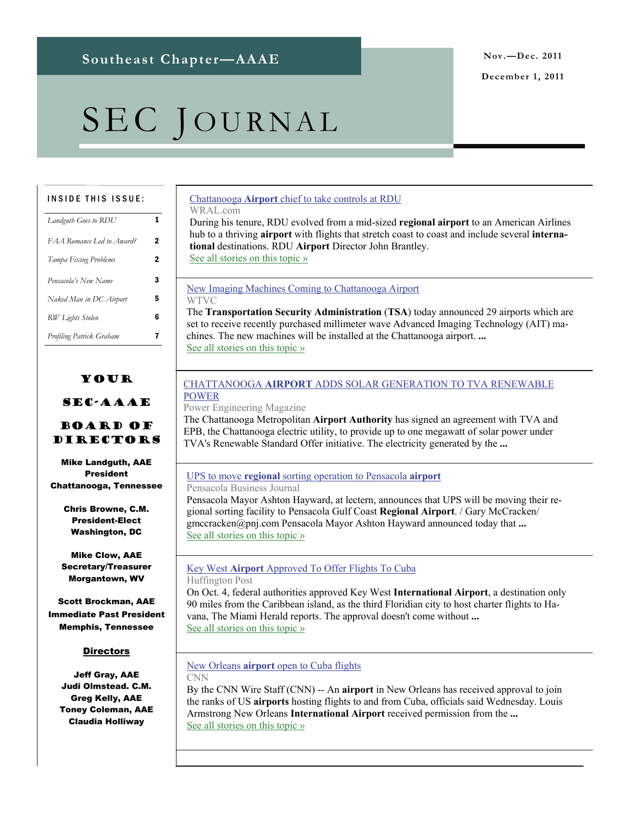# SEC JOURNAL

#### INSIDE THIS ISSUE:

| 1<br>Landguth Goes to RDU      |
|--------------------------------|
|                                |
| 2<br>FAA Romance Led to Award? |
| 2<br>Tampa Fixing Problems     |
| 3<br>Pensacola's New Name      |
| 5<br>Naked Man in DC Airport   |
| 6<br>RW Lights Stolen          |
| Profiling Patrick Graham       |

#### Your

#### SEC-AAAE

#### Board of Directors

Mike Landguth, AAE President Chattanooga, Tennessee

> Chris Browne, C.M. President-Elect Washington, DC

Mike Clow, AAE Secretary/Treasurer Morgantown, WV

Scott Brockman, AAE Immediate Past President Memphis, Tennessee

#### **Directors**

Jeff Gray, AAE Judi Olmstead. C.M. Greg Kelly, AAE Toney Coleman, AAE Claudia Holliway

#### Chattanooga **Airport** chief to take controls at RDU WRAL.com

During his tenure, RDU evolved from a mid-sized **regional airport** to an American Airlines hub to a thriving **airport** with flights that stretch coast to coast and include several **international** destinations. RDU **Airport** Director John Brantley. See all stories on this topic »

[New Imaging Machines Coming to Chattanooga Airport](http://www.google.com/url?sa=X&q=http://www.newschannel9.com/news/machines-1005455-tsa-new.html&ct=ga&cad=CAEQARgAIAAoATAAOABA6cq39ARIAVAAWABiAmVu&cd=YVl_6XNRfIg&usg=AFQjCNEi2ghKmyPGZGn7cCz-7sviena_0A) WTVC

The **Transportation Security Administration** (**TSA**) today announced 29 airports which are set to receive recently purchased millimeter wave Advanced Imaging Technology (AIT) machines. The new machines will be installed at the Chattanooga airport. **...** [See all stories on this topic »](http://www.google.com/url?sa=X&q=http://news.google.com/news/story%3Fncl%3Dhttp://www.newschannel9.com/news/machines-1005455-tsa-new.html%26hl%3Den%26geo%3Dus&ct=ga&cad=CAEQARgAIAAoBjAAOABA6cq39ARIAVAAWABiAmVu&cd=YVl_6XNRfIg&usg=AFQjCNEL9ysnbJqpDO3dgpculirdZeC2yg)

#### CHATTANOOGA **AIRPORT** [ADDS SOLAR GENERATION TO TVA RENEWABLE](http://www.google.com/url?sa=X&q=http://www.power-eng.com/content/pe/en/news/2011/10/1514617228/chattanooga-airport-adds-solar-generation-to-tva-renewable-power.html&ct=ga&cad=CAEQARgAIAAoATAAOABAh-S29ARIAVAAWABiAmVu&cd=CczA5panaIk&usg=AFQjCNFU36b0jXBXslckBzbCh9nTFBBApg)  [POWER](http://www.google.com/url?sa=X&q=http://www.power-eng.com/content/pe/en/news/2011/10/1514617228/chattanooga-airport-adds-solar-generation-to-tva-renewable-power.html&ct=ga&cad=CAEQARgAIAAoATAAOABAh-S29ARIAVAAWABiAmVu&cd=CczA5panaIk&usg=AFQjCNFU36b0jXBXslckBzbCh9nTFBBApg)

Power Engineering Magazine

The Chattanooga Metropolitan **Airport Authority** has signed an agreement with TVA and EPB, the Chattanooga electric utility, to provide up to one megawatt of solar power under TVA's Renewable Standard Offer initiative. The electricity generated by the **...**

#### UPS to move **regional** [sorting operation to Pensacola](http://www.google.com/url?sa=X&q=http://www.pnj.com/article/20111010/NEWS01/111010004/UPS-move-regional-sorting-operation-Pensacola-airport%3Fodyssey%3Dnav%257Chead&ct=ga&cad=CAEQARgAIAAoATAAOABAm7vM9ARIAVAAWABiAmVu&cd=i9hPmkiV_Q8&usg=AFQjCNHSFkNypX-x_4mKH3G6sxBKDoT6Gw) **airport**

Pensacola Business Journal

Pensacola Mayor Ashton Hayward, at lectern, announces that UPS will be moving their regional sorting facility to Pensacola Gulf Coast **Regional Airport**. / Gary McCracken/ gmccracken@pnj.com Pensacola Mayor Ashton Hayward announced today that **...** [See all stories on this topic »](http://www.google.com/url?sa=X&q=http://news.google.com/news/story%3Fncl%3Dhttp://www.pnj.com/article/20111010/NEWS01/111010004/UPS-move-regional-sorting-operation-Pensacola-airport%253Fodyssey%253Dnav%25257Chead%26hl%3Den%26geo%3Dus&ct=ga&cad=CAEQARgAIAAoBjAAOABAm7vM9ARIAVAAWABiAmVu&cd=i9hPmkiV_Q8&usg=AFQjCNEr0hSWH-HjD1pTIf1ICZTgTCXh-A)

#### Key West **Airport** [Approved To Offer Flights To Cuba](http://www.google.com/url?sa=X&q=http://www.huffingtonpost.com/2011/10/11/key-west-airport-cuba-flights_n_1005635.html&ct=ga&cad=CAEQARgAIAAoATAAOABA5-3S9ARIAVAAWABiAmVu&cd=9ZeP_o7xnns&usg=AFQjCNEgQ9Sz_AKKIOoEh4MYkirVhxiHqg)

Huffington Post

On Oct. 4, federal authorities approved Key West **International Airport**, a destination only 90 miles from the Caribbean island, as the third Floridian city to host charter flights to Havana, The Miami Herald reports. The approval doesn't come without **...** [See all stories on this topic »](http://www.google.com/url?sa=X&q=http://news.google.com/news/story%3Fncl%3Dhttp://www.huffingtonpost.com/2011/10/11/key-west-airport-cuba-flights_n_1005635.html%26hl%3Den%26geo%3Dus&ct=ga&cad=CAEQARgAIAAoBjAAOABA5-3S9ARIAVAAWABiAmVu&cd=9ZeP_o7xnns&usg=AFQjCNHVc2MPz8vr2iKggyOuyQrdhw1Q9w)

#### New Orleans **airport** [open to Cuba flights](http://www.google.com/url?sa=X&q=http://www.cnn.com/2011/10/12/travel/lousiana-cuba-flights/&ct=ga&cad=CAEQARgAIAAoATAAOABA6K7Z9ARIAVAAWABiAmVu&cd=1MXq3Q-6HfI&usg=AFQjCNFrfSmDczv0LGwYtI0Ms1dsWxQoMw)

CNN

By the CNN Wire Staff (CNN) -- An **airport** in New Orleans has received approval to join the ranks of US **airports** hosting flights to and from Cuba, officials said Wednesday. Louis Armstrong New Orleans **International Airport** received permission from the **...** [See all stories on this topic »](http://www.google.com/url?sa=X&q=http://news.google.com/news/story%3Fncl%3Dhttp://www.cnn.com/2011/10/12/travel/lousiana-cuba-flights/%26hl%3Den%26geo%3Dus&ct=ga&cad=CAEQARgAIAAoBjAAOABA6K7Z9ARIAVAAWABiAmVu&cd=1MXq3Q-6HfI&usg=AFQjCNFj3rsCBjoyNKPELfx1RoVsszRVxA)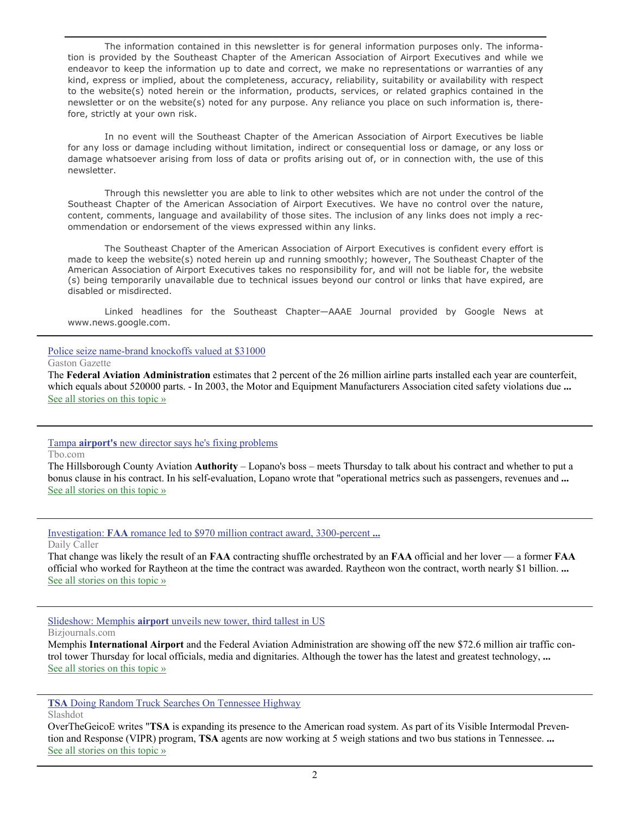The information contained in this newsletter is for general information purposes only. The information is provided by the Southeast Chapter of the American Association of Airport Executives and while we endeavor to keep the information up to date and correct, we make no representations or warranties of any kind, express or implied, about the completeness, accuracy, reliability, suitability or availability with respect to the website(s) noted herein or the information, products, services, or related graphics contained in the newsletter or on the website(s) noted for any purpose. Any reliance you place on such information is, therefore, strictly at your own risk.

 In no event will the Southeast Chapter of the American Association of Airport Executives be liable for any loss or damage including without limitation, indirect or consequential loss or damage, or any loss or damage whatsoever arising from loss of data or profits arising out of, or in connection with, the use of this newsletter.

 Through this newsletter you are able to link to other websites which are not under the control of the Southeast Chapter of the American Association of Airport Executives. We have no control over the nature, content, comments, language and availability of those sites. The inclusion of any links does not imply a recommendation or endorsement of the views expressed within any links.

 The Southeast Chapter of the American Association of Airport Executives is confident every effort is made to keep the website(s) noted herein up and running smoothly; however, The Southeast Chapter of the American Association of Airport Executives takes no responsibility for, and will not be liable for, the website (s) being temporarily unavailable due to technical issues beyond our control or links that have expired, are disabled or misdirected.

 Linked headlines for the Southeast Chapter—AAAE Journal provided by Google News at www.news.google.com.

#### [Police seize name-brand knockoffs valued at \\$31000](http://www.google.com/url?sa=X&q=http://www.gastongazette.com/news/police-62146-seize-shelby.html&ct=ga&cad=CAcQARgAIAAoATAAOABAiJ-A9QRIAVAAWABiBWVuLVVT&cd=9mnHOllh7zs&usg=AFQjCNFS8yPbH6fBBeuhOzhRoMgh51AzgQ)

Gaston Gazette

The **Federal Aviation Administration** estimates that 2 percent of the 26 million airline parts installed each year are counterfeit, which equals about 520000 parts. - In 2003, the Motor and Equipment Manufacturers Association cited safety violations due **...** [See all stories on this topic »](http://www.google.com/url?sa=X&q=http://news.google.com/news/story%3Fncl%3Dhttp://www.gastongazette.com/news/police-62146-seize-shelby.html%26hl%3Den%26geo%3Dus&ct=ga&cad=CAcQARgAIAAoBjAAOABAiJ-A9QRIAVAAWABiBWVuLVVT&cd=9mnHOllh7zs&usg=AFQjCNFCBEux4jpk6lOY5zsVwRPUw_LV-w)

#### Tampa **airport's** [new director says he's fixing problems](http://www.google.com/url?sa=X&q=http://www2.tbo.com/news/business/2011/oct/20/2/tampa-airport-had-problems-hes-fixing-them-new-dir-ar-273084/&ct=ga&cad=CAEQARgAIAAoATAAOABA3uiA9QRIAVAAWABiAmVu&cd=8qodEsYnfDk&usg=AFQjCNFKo7h_4qppWUtMMXORuNzuyyFmzg)

Tbo.com

The Hillsborough County Aviation **Authority** – Lopano's boss – meets Thursday to talk about his contract and whether to put a bonus clause in his contract. In his self-evaluation, Lopano wrote that "operational metrics such as passengers, revenues and **...** [See all stories on this topic »](http://www.google.com/url?sa=X&q=http://news.google.com/news/story%3Fncl%3Dhttp://www2.tbo.com/news/business/2011/oct/20/2/tampa-airport-had-problems-hes-fixing-them-new-dir-ar-273084/%26hl%3Den%26geo%3Dus&ct=ga&cad=CAEQARgAIAAoBjAAOABA3uiA9QRIAVAAWABiAmVu&cd=8qodEsYnfDk&usg=AFQjCNFz8m2Px4wvPIJboMUWXSNi_umEXQ)

Investigation: **FAA** [romance led to \\$970 million contract award, 3300-percent](http://www.google.com/url?sa=X&q=http://dailycaller.com/2011/10/20/investigation-faa-romance-led-to-970-million-contract-award-3300-percent-increase-in-air-traffic-control-errors/&ct=ga&cad=CAcQARgAIAAoATAAOABArL2B9QRIAVAAWABiBWVuLVVT&cd=ZNryi1CRqFo&usg=AFQjCNGba9LypImmUpyMTLopy-Bl6jXkZQ) **...** Daily Caller

That change was likely the result of an **FAA** contracting shuffle orchestrated by an **FAA** official and her lover — a former **FAA** official who worked for Raytheon at the time the contract was awarded. Raytheon won the contract, worth nearly \$1 billion. **...** [See all stories on this topic »](http://www.google.com/url?sa=X&q=http://news.google.com/news/story%3Fncl%3Dhttp://dailycaller.com/2011/10/20/investigation-faa-romance-led-to-970-million-contract-award-3300-percent-increase-in-air-traffic-control-errors/%26hl%3Den%26geo%3Dus&ct=ga&cad=CAcQARgAIAAoBjAAOABArL2B9QRIAVAAWABiBWVuLVVT&cd=ZNryi1CRqFo&usg=AFQjCNFJlNVsZ36XYdwxvzM3Hyrnv9Ddfg)

Slideshow: Memphis **airport** [unveils new tower, third tallest in US](http://www.google.com/url?sa=X&q=http://www.bizjournals.com/memphis/news/2011/10/20/memphis-airport-unveils-new-tower.html&ct=ga&cad=CAEQARgAIAAoATAAOABApKGC9QRIAVAAWABiAmVu&cd=ABC21A9je3k&usg=AFQjCNHdS4_ppf05QAwNwGlQ4J3XfhVROQ)

Bizjournals.com

Memphis **International Airport** and the Federal Aviation Administration are showing off the new \$72.6 million air traffic control tower Thursday for local officials, media and dignitaries. Although the tower has the latest and greatest technology, **...** [See all stories on this topic »](http://www.google.com/url?sa=X&q=http://news.google.com/news/story%3Fncl%3Dhttp://www.bizjournals.com/memphis/news/2011/10/20/memphis-airport-unveils-new-tower.html%26hl%3Den%26geo%3Dus&ct=ga&cad=CAEQARgAIAAoBjAAOABApKGC9QRIAVAAWABiAmVu&cd=ABC21A9je3k&usg=AFQjCNEsxjhDJEC1nI5gtk_DeqpGHBeH1g)

**TSA** [Doing Random Truck Searches On Tennessee Highway](http://www.google.com/url?sa=X&q=http://news.slashdot.org/story/11/10/20/2212225/tsa-doing-random-truck-searches-on-tennessee-highway%3Futm_source%3Drss1.0mainlinkanon%26utm_medium%3Dfeed&ct=ga&cad=CAEQARgAIAAoATAAOABAuJqD9QRIAVAAWABiAmVu&cd=Rzh7G2a2JNQ&usg=AFQjCNEUdFHwv5C1I21fyI2fwC_vy47fvg)

Slashdot

OverTheGeicoE writes "**TSA** is expanding its presence to the American road system. As part of its Visible Intermodal Prevention and Response (VIPR) program, **TSA** agents are now working at 5 weigh stations and two bus stations in Tennessee. **...** [See all stories on this topic »](http://www.google.com/url?sa=X&q=http://news.google.com/news/story%3Fncl%3Dhttp://news.slashdot.org/story/11/10/20/2212225/tsa-doing-random-truck-searches-on-tennessee-highway%253Futm_source%253Drss1.0mainlinkanon%2526utm_medium%253Dfeed%26hl%3Den%26geo%3Dus&ct=ga&cad=CAEQARgAIAAoBjAAOABAuJqD9QRIAVAAWABiAmVu&cd=Rzh7G2a2JNQ&usg=AFQjCNEihvkC6LXtLGpX08qGvHacvjeFxw)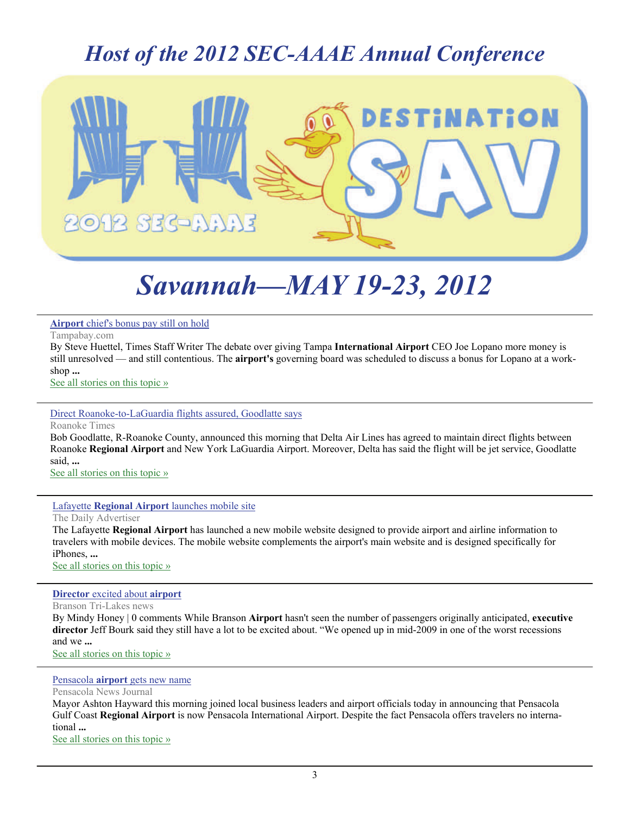### *Host of the 2012 SEC-AAAE Annual Conference*



# *Savannah—MAY 19-23, 2012*

**Airport** [chief's bonus pay still on hold](http://www.google.com/url?sa=X&q=http://www.tampabay.com/news/business/airlines/airport-chiefs-bonus-pay-still-on-hold/1197813&ct=ga&cad=CAEQARgAIAAoATAAOABAz42D9QRIAVAAWABiAmVu&cd=IDIkPQHMW7k&usg=AFQjCNGmWdwhcyLhHAxoWA_Ug5mXvzuAGA)

Tampabay.com

By Steve Huettel, Times Staff Writer The debate over giving Tampa **International Airport** CEO Joe Lopano more money is still unresolved — and still contentious. The **airport's** governing board was scheduled to discuss a bonus for Lopano at a workshop **...** [See all stories on this topic »](http://www.google.com/url?sa=X&q=http://news.google.com/news/story%3Fncl%3Dhttp://www.tampabay.com/news/business/airlines/airport-chiefs-bonus-pay-still-on-hold/1197813%26hl%3Den%26geo%3Dus&ct=ga&cad=CAEQARgAIAAoBjAAOABAz42D9QRIAVAAWABiAmVu&cd=IDIkPQHMW7k&usg=AFQjCNGYUo8d1h9N3Gns03tXc_ypG_OnWg)

#### [Direct Roanoke-to-LaGuardia flights assured, Goodlatte says](http://www.google.com/url?sa=X&q=http://www.roanoke.com/news/breaking/wb/300018&ct=ga&cad=CAEQARgAIAAoATABOAFAzv6G9QRIAVAAWABiAmVu&cd=8pP-ULEWwvM&usg=AFQjCNGQpKPDkEtjMzZOotiat9lk_EdiOA)

Roanoke Times

Bob Goodlatte, R-Roanoke County, announced this morning that Delta Air Lines has agreed to maintain direct flights between Roanoke **Regional Airport** and New York LaGuardia Airport. Moreover, Delta has said the flight will be jet service, Goodlatte said, **...**

[See all stories on this topic »](http://www.google.com/url?sa=X&q=http://news.google.com/news/story%3Fncl%3Dhttp://www.roanoke.com/news/breaking/wb/300018%26hl%3Den%26geo%3Dus&ct=ga&cad=CAEQARgAIAAoBjABOAFAzv6G9QRIAVAAWABiAmVu&cd=8pP-ULEWwvM&usg=AFQjCNEAF_rD_mwaM-ZkUB-7NLOLlvostQ)

#### Lafayette **Regional Airport** [launches mobile site](http://www.google.com/url?sa=X&q=http://www.theadvertiser.com/article/20111027/NEWS01/111027015/Lafayette-Regional-Airport-launches-mobile-site%3Fodyssey%3Dtab%257Ctopnews%257Ctext%257CFRONTPAGE&ct=ga&cad=CAEQARgAIAAoATAAOABAlKum9QRIAVAAWABiAmVu&cd=cC7mkvaQgT0&usg=AFQjCNGAY6fo2hCwbwzF3SxFMgYlc6VPHg)

The Daily Advertiser

The Lafayette **Regional Airport** has launched a new mobile website designed to provide airport and airline information to travelers with mobile devices. The mobile website complements the airport's main website and is designed specifically for iPhones, **...**

[See all stories on this topic »](http://www.google.com/url?sa=X&q=http://news.google.com/news/story%3Fncl%3Dhttp://www.theadvertiser.com/article/20111027/NEWS01/111027015/Lafayette-Regional-Airport-launches-mobile-site%253Fodyssey%253Dtab%25257Ctopnews%25257Ctext%25257CFRONTPAGE%26hl%3Den%26geo%3Dus&ct=ga&cad=CAEQARgAIAAoBjAAOABAlKum9QRIAVAAWABiAmVu&cd=cC7mkvaQgT0&usg=AFQjCNF1X0fWQQwkdkm-r7D4evF24k7XwQ)

#### **Director** [excited about](http://www.google.com/url?sa=X&q=http://bransontrilakesnews.com/news_free/article_78a731d4-ff52-11e0-8588-001cc4c03286.html&ct=ga&cad=CAEQAhgAIAAoATAAOABAh_Gg9QRIAVAAWABiAmVu&cd=ia1QtBksaCU&usg=AFQjCNH--L92umFCHj963cUzAmoVzstLcg) **airport**

Branson Tri-Lakes news By Mindy Honey | 0 comments While Branson **Airport** hasn't seen the number of passengers originally anticipated, **executive director** Jeff Bourk said they still have a lot to be excited about. "We opened up in mid-2009 in one of the worst recessions and we **...**

[See all stories on this topic »](http://www.google.com/url?sa=X&q=http://news.google.com/news/story%3Fncl%3Dhttp://bransontrilakesnews.com/news_free/article_78a731d4-ff52-11e0-8588-001cc4c03286.html%26hl%3Den%26geo%3Dus&ct=ga&cad=CAEQAhgAIAAoBjAAOABAh_Gg9QRIAVAAWABiAmVu&cd=ia1QtBksaCU&usg=AFQjCNEqFuTn1lsBqcnhmJpr_JaND5KzRA)

#### Pensacola **airport** [gets new name](http://www.google.com/url?sa=X&q=http://www.pnj.com/article/20111109/NEWS01/111109015/Pensacola-airport-gets-new-name%3Fodyssey%3Dtab%257Ctopnews%257Ctext%257CFRONTPAGE&ct=ga&cad=CAEQARgAIAAoATAAOABA_Lvr9QRIAVAAWABiAmVu&cd=YYsOojScr3E&usg=AFQjCNHJdYS9vxcas2bAomSUM8Zxm71lQg)

Pensacola News Journal Mayor Ashton Hayward this morning joined local business leaders and airport officials today in announcing that Pensacola Gulf Coast **Regional Airport** is now Pensacola International Airport. Despite the fact Pensacola offers travelers no international **...**

[See all stories on this topic »](http://www.google.com/url?sa=X&q=http://news.google.com/news/story%3Fncl%3Dhttp://www.pnj.com/article/20111109/NEWS01/111109015/Pensacola-airport-gets-new-name%253Fodyssey%253Dtab%25257Ctopnews%25257Ctext%25257CFRONTPAGE%26hl%3Den%26geo%3Dus&ct=ga&cad=CAEQARgAIAAoBjAAOABA_Lvr9QRIAVAAWABiAmVu&cd=YYsOojScr3E&usg=AFQjCNFU1oJQy90KgasX8SNfsmm6Q35h4Q)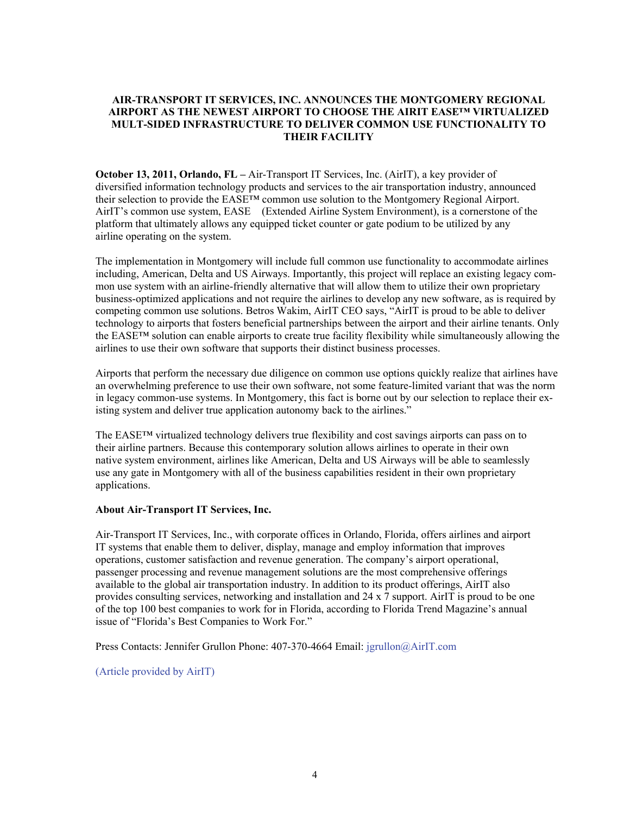#### **AIR-TRANSPORT IT SERVICES, INC. ANNOUNCES THE MONTGOMERY REGIONAL AIRPORT AS THE NEWEST AIRPORT TO CHOOSE THE AIRIT EASE™ VIRTUALIZED MULT-SIDED INFRASTRUCTURE TO DELIVER COMMON USE FUNCTIONALITY TO THEIR FACILITY**

**October 13, 2011, Orlando, FL –** Air-Transport IT Services, Inc. (AirIT), a key provider of diversified information technology products and services to the air transportation industry, announced their selection to provide the EASE™ common use solution to the Montgomery Regional Airport. AirIT's common use system, EASE (Extended Airline System Environment), is a cornerstone of the platform that ultimately allows any equipped ticket counter or gate podium to be utilized by any airline operating on the system.

The implementation in Montgomery will include full common use functionality to accommodate airlines including, American, Delta and US Airways. Importantly, this project will replace an existing legacy common use system with an airline-friendly alternative that will allow them to utilize their own proprietary business-optimized applications and not require the airlines to develop any new software, as is required by competing common use solutions. Betros Wakim, AirIT CEO says, "AirIT is proud to be able to deliver technology to airports that fosters beneficial partnerships between the airport and their airline tenants. Only the EASE™ solution can enable airports to create true facility flexibility while simultaneously allowing the airlines to use their own software that supports their distinct business processes.

Airports that perform the necessary due diligence on common use options quickly realize that airlines have an overwhelming preference to use their own software, not some feature-limited variant that was the norm in legacy common-use systems. In Montgomery, this fact is borne out by our selection to replace their existing system and deliver true application autonomy back to the airlines."

The EASE™ virtualized technology delivers true flexibility and cost savings airports can pass on to their airline partners. Because this contemporary solution allows airlines to operate in their own native system environment, airlines like American, Delta and US Airways will be able to seamlessly use any gate in Montgomery with all of the business capabilities resident in their own proprietary applications.

#### **About Air-Transport IT Services, Inc.**

Air-Transport IT Services, Inc., with corporate offices in Orlando, Florida, offers airlines and airport IT systems that enable them to deliver, display, manage and employ information that improves operations, customer satisfaction and revenue generation. The company's airport operational, passenger processing and revenue management solutions are the most comprehensive offerings available to the global air transportation industry. In addition to its product offerings, AirIT also provides consulting services, networking and installation and 24 x 7 support. AirIT is proud to be one of the top 100 best companies to work for in Florida, according to Florida Trend Magazine's annual issue of "Florida's Best Companies to Work For."

Press Contacts: Jennifer Grullon Phone: 407-370-4664 Email: jgrullon@AirIT.com

(Article provided by AirIT)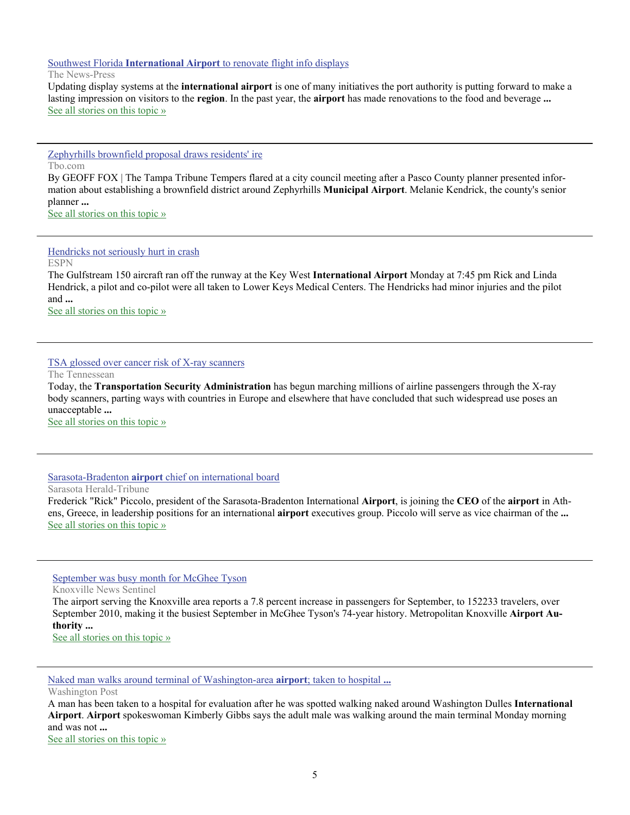#### Southwest Florida **International Airport** [to renovate flight info displays](http://www.google.com/url?sa=X&q=http://www.news-press.com/article/20111026/BUSINESS/110260340/Southwest-Florida-International-Airport-renovate-flight-info-displays%3Fodyssey%3Dmod%257Cnewswell%257Ctext%257CHome%257Cs&ct=ga&cad=CAEQARgAIAAoATAAOABA2tye9QRIAVAAWABiAmVu&cd=9TCQYK6RlTQ&usg=AFQjCNHATFOtcBBJItCHrB1l8HyZtNhm_g)

#### The News-Press

Updating display systems at the **international airport** is one of many initiatives the port authority is putting forward to make a lasting impression on visitors to the **region**. In the past year, the **airport** has made renovations to the food and beverage **...** [See all stories on this topic »](http://www.google.com/url?sa=X&q=http://news.google.com/news/story%3Fncl%3Dhttp://www.news-press.com/article/20111026/BUSINESS/110260340/Southwest-Florida-International-Airport-renovate-flight-info-displays%253Fodyssey%253Dmod%25257Cnewswell%25257Ctext%25257CHome%25257Cs%26hl%3Den%26geo%3Dus&ct=ga&cad=CAEQARgAIAAoBjAAOABA2tye9QRIAVAAWABiAmVu&cd=9TCQYK6RlTQ&usg=AFQjCNGYMi-kXEh5Tsy-CCYPAG1V77IrWA)

[Zephyrhills brownfield proposal draws residents' ire](http://www.google.com/url?sa=X&q=http://www2.tbo.com/news/pasco-news/2011/oct/25/zephyrhills-brownfield-proposal-draws-residents-ir-ar-278982/&ct=ga&cad=CAEQARgAIAAoATAAOABAyYKd9QRIAVAAWABiAmVu&cd=6lHHXiKxLP0&usg=AFQjCNGxZxHXhqHbtULmAKsqeei6eFO7og)

#### Tbo.com

By GEOFF FOX | The Tampa Tribune Tempers flared at a city council meeting after a Pasco County planner presented information about establishing a brownfield district around Zephyrhills **Municipal Airport**. Melanie Kendrick, the county's senior planner **...** [See all stories on this topic »](http://www.google.com/url?sa=X&q=http://news.google.com/news/story%3Fncl%3Dhttp://www2.tbo.com/news/pasco-news/2011/oct/25/zephyrhills-brownfield-proposal-draws-residents-ir-ar-278982/%26hl%3Den%26geo%3Dus&ct=ga&cad=CAEQARgAIAAoBjAAOABAyYKd9QRIAVAAWABiAmVu&cd=6lHHXiKxLP0&usg=AFQjCNFJ90kcHP-V114od7J5livzm2b3Xw)

[Hendricks not seriously hurt in crash](http://www.google.com/url?sa=X&q=http://espn.go.com/racing/nascar/cup/story/_/id/7176181/nascar-rick-hendrick-wife-ok-plane-crashes-florida&ct=ga&cad=CAEQARgAIAAoATAAOABAmeC99QRIAVAAWABiAmVu&cd=4iczyNr6bC0&usg=AFQjCNGzNGxaUaZjONcHa2mLKr6Rp2mIIg)

ESPN

The Gulfstream 150 aircraft ran off the runway at the Key West **International Airport** Monday at 7:45 pm Rick and Linda Hendrick, a pilot and co-pilot were all taken to Lower Keys Medical Centers. The Hendricks had minor injuries and the pilot and **...**

[See all stories on this topic »](http://www.google.com/url?sa=X&q=http://news.google.com/news/story%3Fncl%3Dhttp://espn.go.com/racing/nascar/cup/story/_/id/7176181/nascar-rick-hendrick-wife-ok-plane-crashes-florida%26hl%3Den%26geo%3Dus&ct=ga&cad=CAEQARgAIAAoBjAAOABAmeC99QRIAVAAWABiAmVu&cd=4iczyNr6bC0&usg=AFQjCNE9WhGM1DrQH8MBLc4Guil94kPF6Q)

#### [TSA glossed over cancer risk of X-ray scanners](http://www.google.com/url?sa=X&q=http://www.tennessean.com/article/20111102/NEWS08/311020124/TSA-glossed-over-cancer-risk-of-X-ray-scanners&ct=ga&cad=CAEQARgAIAAoATAAOABAt5HE9QRIAVAAWABiAmVu&cd=NxH6IgJ581s&usg=AFQjCNG6XSxB7NKL4Q-mmC53DXq4elfVyA)

The Tennessean

Today, the **Transportation Security Administration** has begun marching millions of airline passengers through the X-ray body scanners, parting ways with countries in Europe and elsewhere that have concluded that such widespread use poses an unacceptable **...**

[See all stories on this topic »](http://www.google.com/url?sa=X&q=http://news.google.com/news/story%3Fncl%3Dhttp://www.tennessean.com/article/20111102/NEWS08/311020124/TSA-glossed-over-cancer-risk-of-X-ray-scanners%26hl%3Den%26geo%3Dus&ct=ga&cad=CAEQARgAIAAoBjAAOABAt5HE9QRIAVAAWABiAmVu&cd=NxH6IgJ581s&usg=AFQjCNFHZAjw6qpcwK43grdoUT7Zp36s1g)

#### Sarasota-Bradenton **airport** [chief on international board](http://www.google.com/url?sa=X&q=http://www.heraldtribune.com/article/20111102/ARTICLE/111109905&ct=ga&cad=CAEQAhgAIAAoATAEOARA6f_H9QRIAVAAWABiAmVu&cd=jsSmBNY5OeM&usg=AFQjCNE25JmTZ22Op5eGqelHF2etvalDyQ)

Sarasota Herald-Tribune

Frederick "Rick" Piccolo, president of the Sarasota-Bradenton International **Airport**, is joining the **CEO** of the **airport** in Athens, Greece, in leadership positions for an international **airport** executives group. Piccolo will serve as vice chairman of the **...** [See all stories on this topic »](http://www.google.com/url?sa=X&q=http://news.google.com/news/story%3Fncl%3Dhttp://www.heraldtribune.com/article/20111102/ARTICLE/111109905%26hl%3Den%26geo%3Dus&ct=ga&cad=CAEQAhgAIAAoBjAEOARA6f_H9QRIAVAAWABiAmVu&cd=jsSmBNY5OeM&usg=AFQjCNHxvgQFXw4a_ibSEeKSjBrcqsE1BQ)

#### [September was busy month for McGhee Tyson](http://www.google.com/url?sa=X&q=http://www.knoxnews.com/news/2011/nov/04/september-was-busy-month-for-mcghee-tyson/&ct=ga&cad=CAEQARgAIAAoATAAOABAwJzS9QRIAVAAWABiAmVu&cd=lZyjqG-QsDk&usg=AFQjCNEyqPVBDXlkUYGj6JVLkiwx6KpRng)

Knoxville News Sentinel

The airport serving the Knoxville area reports a 7.8 percent increase in passengers for September, to 152233 travelers, over September 2010, making it the busiest September in McGhee Tyson's 74-year history. Metropolitan Knoxville **Airport Authority ...**

[See all stories on this topic »](http://www.google.com/url?sa=X&q=http://news.google.com/news/story%3Fncl%3Dhttp://www.knoxnews.com/news/2011/nov/04/september-was-busy-month-for-mcghee-tyson/%26hl%3Den%26geo%3Dus&ct=ga&cad=CAEQARgAIAAoBjAAOABAwJzS9QRIAVAAWABiAmVu&cd=lZyjqG-QsDk&usg=AFQjCNFuMQ0JwYbZ1HsF-Ltjac9Nfoxm5g)

[Naked man walks around terminal of Washington-area](http://www.google.com/url?sa=X&q=http://www.washingtonpost.com/local/naked-man-walks-around-terminal-of-washington-area-airport-taken-to-hospital-for-evaluation/2011/11/07/gIQAVjwYvM_story.html&ct=ga&cad=CAEQARgAIAAoATAAOABAucrg9QRIAVAAWABiAmVu&cd=neJpYXhYJ0s&usg=AFQjCNEnReCb_wpC5d6scXPxZK5wUfsoTw) **airport**; taken to hospital **...**

Washington Post

A man has been taken to a hospital for evaluation after he was spotted walking naked around Washington Dulles **International Airport**. **Airport** spokeswoman Kimberly Gibbs says the adult male was walking around the main terminal Monday morning and was not **...**

[See all stories on this topic »](http://www.google.com/url?sa=X&q=http://news.google.com/news/story%3Fncl%3Dhttp://www.washingtonpost.com/local/naked-man-walks-around-terminal-of-washington-area-airport-taken-to-hospital-for-evaluation/2011/11/07/gIQAVjwYvM_story.html%26hl%3Den%26geo%3Dus&ct=ga&cad=CAEQARgAIAAoBjAAOABAucrg9QRIAVAAWABiAmVu&cd=neJpYXhYJ0s&usg=AFQjCNGZIZRIRkGj8Svepg-yrxGFfk4yTw)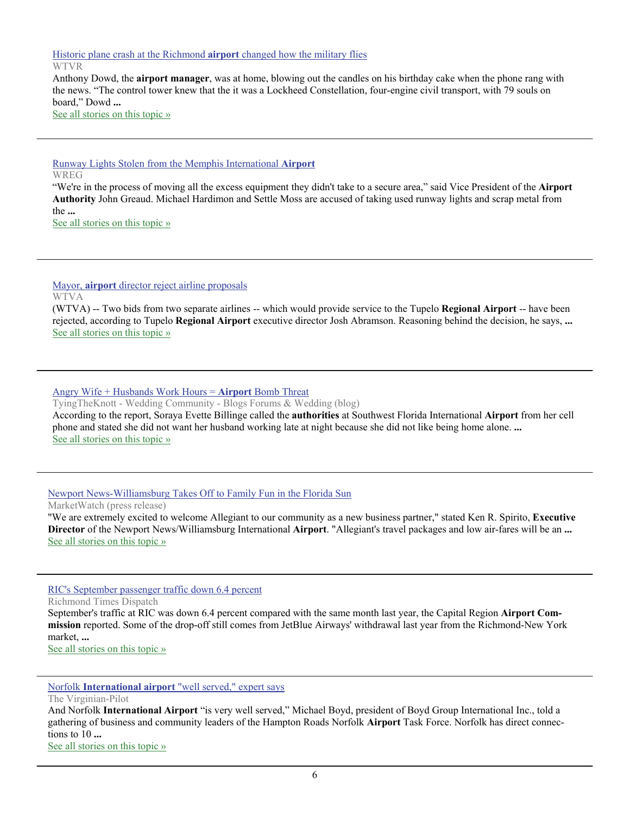[Historic plane crash at the Richmond](http://www.google.com/url?sa=X&q=http://www.wtvr.com/news/wtvr-historic-plane-crash-at-the-richmond-airport-changed-how-the-military-flies-20111108,0,4821718.story&ct=ga&cad=CAEQAhgAIAAoATAFOAVAy9Dm9QRIAVAAWABiAmVu&cd=w6JuppIDtns&usg=AFQjCNFBoYeHjiWSzeS7BEbVrK-nWQcZTg) **airport** changed how the military flies

#### WTVR

Anthony Dowd, the **airport manager**, was at home, blowing out the candles on his birthday cake when the phone rang with the news. "The control tower knew that the it was a Lockheed Constellation, four-engine civil transport, with 79 souls on board," Dowd **...**

[See all stories on this topic »](http://www.google.com/url?sa=X&q=http://news.google.com/news/story%3Fncl%3Dhttp://www.wtvr.com/news/wtvr-historic-plane-crash-at-the-richmond-airport-changed-how-the-military-flies-20111108,0,4821718.story%26hl%3Den%26geo%3Dus&ct=ga&cad=CAEQAhgAIAAoBjAFOAVAy9Dm9QRIAVAAWABiAmVu&cd=w6JuppIDtns&usg=AFQjCNHUK5o4URHxFB0QpvfGbP5RCYe3Aw)

[Runway Lights Stolen from the Memphis International](http://www.google.com/url?sa=X&q=http://www.wreg.com/news/wreg-runway-lights-stolen-from-the-memphis-international-airport-20111108,0,6063346.story&ct=ga&cad=CAEQARgAIAAoATABOAFA2oPn9QRIAVAAWABiAmVu&cd=C5b7UkHW3FE&usg=AFQjCNEu8HlyUrJ4lVy8PnC0gO7IzYMkwQ) **Airport**

WREG

"We're in the process of moving all the excess equipment they didn't take to a secure area," said Vice President of the **Airport Authority** John Greaud. Michael Hardimon and Settle Moss are accused of taking used runway lights and scrap metal from the **...**

[See all stories on this topic »](http://www.google.com/url?sa=X&q=http://news.google.com/news/story%3Fncl%3Dhttp://www.wreg.com/news/wreg-runway-lights-stolen-from-the-memphis-international-airport-20111108,0,6063346.story%26hl%3Den%26geo%3Dus&ct=ga&cad=CAEQARgAIAAoBjABOAFA2oPn9QRIAVAAWABiAmVu&cd=C5b7UkHW3FE&usg=AFQjCNGMJLvaM-qUzgdCkifE0Ko6FTjvBg)

Mayor, **airport** [director reject airline proposals](http://www.google.com/url?sa=X&q=http://www.wtva.com/news/local/story/Mayor-airport-director-reject-airline-proposals/tXhG-9pJw0O36Ay5PaCVwA.cspx&ct=ga&cad=CAEQARgAIAAoATABOAFAwr7n9QRIAVAAWABiAmVu&cd=jKgizMDwJZg&usg=AFQjCNELmmXluL-3v8uBjFRbymqC0kKbcw)

WTVA

(WTVA) -- Two bids from two separate airlines -- which would provide service to the Tupelo **Regional Airport** -- have been rejected, according to Tupelo **Regional Airport** executive director Josh Abramson. Reasoning behind the decision, he says, **...** [See all stories on this topic »](http://www.google.com/url?sa=X&q=http://news.google.com/news/story%3Fncl%3Dhttp://www.wtva.com/news/local/story/Mayor-airport-director-reject-airline-proposals/tXhG-9pJw0O36Ay5PaCVwA.cspx%26hl%3Den%26geo%3Dus&ct=ga&cad=CAEQARgAIAAoBjABOAFAwr7n9QRIAVAAWABiAmVu&cd=jKgizMDwJZg&usg=AFQjCNFGpGG3JZub98j1HejQ-pj_Zs4P8w)

[Angry Wife + Husbands Work Hours =](http://www.google.com/url?sa=X&q=http://www.tyingtheknott.com/profiles/blogs/news-9article16-angry-wife-calls-airport-bomb-threat&ct=ga&cad=CAEQARgAIAAoATAAOABA7Ojr9QRIAVAAWABiAmVu&cd=_5ZbFfOO6qg&usg=AFQjCNHhGHsMAx2ruoeoKELuO3tOCrQbTQ) **Airport** Bomb Threat

TyingTheKnott - Wedding Community - Blogs Forums & Wedding (blog) According to the report, Soraya Evette Billinge called the **authorities** at Southwest Florida International **Airport** from her cell phone and stated she did not want her husband working late at night because she did not like being home alone. **...** [See all stories on this topic »](http://www.google.com/url?sa=X&q=http://news.google.com/news/story%3Fncl%3Dhttp://www.tyingtheknott.com/profiles/blogs/news-9article16-angry-wife-calls-airport-bomb-threat%26hl%3Den%26geo%3Dus&ct=ga&cad=CAEQARgAIAAoBjAAOABA7Ojr9QRIAVAAWABiAmVu&cd=_5ZbFfOO6qg&usg=AFQjCNFhWvOnHzuHX0m4244Rd0U21KvQkA)

#### [Newport News-Williamsburg Takes Off to Family Fun in the Florida Sun](http://www.google.com/url?sa=X&q=http://www.marketwatch.com/story/newport-news-williamsburg-takes-off-to-family-fun-in-the-florida-sun-2011-11-16&ct=ga&cad=CAEQAhgAIAAoATAFOAVAiPOU9gRIAVAAWABiAmVu&cd=ejQ27DAhlEc&usg=AFQjCNE0IWaVm7qu9hR8qHDbJCj7CfhRNg)

MarketWatch (press release)

"We are extremely excited to welcome Allegiant to our community as a new business partner," stated Ken R. Spirito, **Executive Director** of the Newport News/Williamsburg International **Airport**. "Allegiant's travel packages and low air-fares will be an **...** [See all stories on this topic »](http://www.google.com/url?sa=X&q=http://news.google.com/news/story%3Fncl%3Dhttp://www.marketwatch.com/story/newport-news-williamsburg-takes-off-to-family-fun-in-the-florida-sun-2011-11-16%26hl%3Den%26geo%3Dus&ct=ga&cad=CAEQAhgAIAAoBjAFOAVAiPOU9gRIAVAAWABiAmVu&cd=ejQ27DAhlEc&usg=AFQjCNGmuLE_wxoM6fxPt9VtsL6WVxqyDg)

[RIC's September passenger traffic down 6.4 percent](http://www.google.com/url?sa=X&q=http://www2.timesdispatch.com/business/2011/oct/26/ric-traffic-declines-in-september-ar-1408950/&ct=ga&cad=CAEQAhgAIAAoATAEOARAm_2e9QRIAVAAWABiAmVu&cd=__jAJ42O7vs&usg=AFQjCNFm_PmBsz9KfQCty6fuHbPoQLMJNA)

Richmond Times Dispatch

September's traffic at RIC was down 6.4 percent compared with the same month last year, the Capital Region **Airport Commission** reported. Some of the drop-off still comes from JetBlue Airways' withdrawal last year from the Richmond-New York market, **...**

[See all stories on this topic »](http://www.google.com/url?sa=X&q=http://news.google.com/news/story%3Fncl%3Dhttp://www2.timesdispatch.com/business/2011/oct/26/ric-traffic-declines-in-september-ar-1408950/%26hl%3Den%26geo%3Dus&ct=ga&cad=CAEQAhgAIAAoBjAEOARAm_2e9QRIAVAAWABiAmVu&cd=__jAJ42O7vs&usg=AFQjCNHFU1yi-7niC9OXp5Bw3oXl9yGNEA)

Norfolk **International airport** ["well served," expert says](http://www.google.com/url?sa=X&q=http://hamptonroads.com/2011/11/norfolk-international-airport-well-served-expert-says&ct=ga&cad=CAEQARgAIAAoATAAOABAgKfw9QRIAVAAWABiAmVu&cd=xvSXbniecAE&usg=AFQjCNHunwHRVnDv_sG1GOL0BNUF7mpavg)

The Virginian-Pilot And Norfolk **International Airport** "is very well served," Michael Boyd, president of Boyd Group International Inc., told a gathering of business and community leaders of the Hampton Roads Norfolk **Airport** Task Force. Norfolk has direct connections to 10 **...**

[See all stories on this topic »](http://www.google.com/url?sa=X&q=http://news.google.com/news/story%3Fncl%3Dhttp://hamptonroads.com/2011/11/norfolk-international-airport-well-served-expert-says%26hl%3Den%26geo%3Dus&ct=ga&cad=CAEQARgAIAAoBjAAOABAgKfw9QRIAVAAWABiAmVu&cd=xvSXbniecAE&usg=AFQjCNEk0gLAmtLYx3_saAMwQyuSPovrFQ)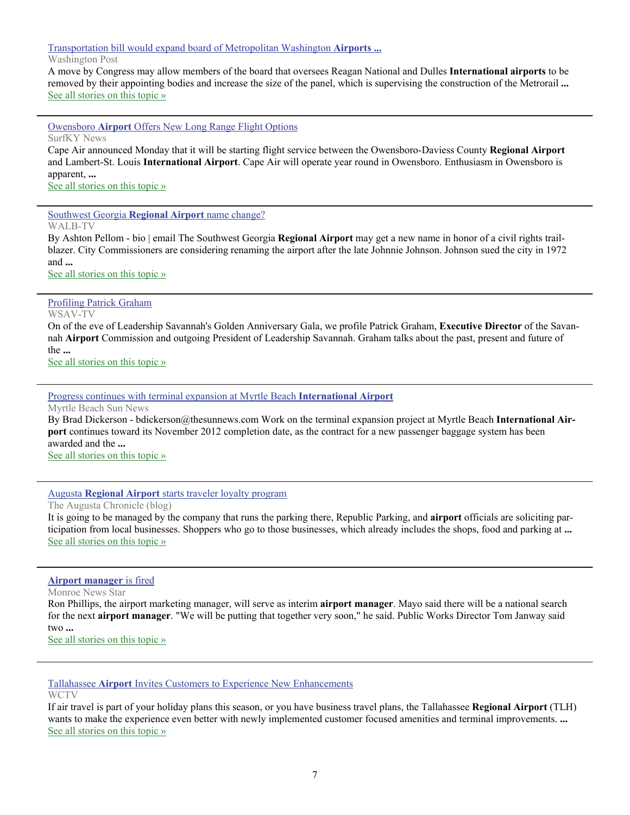#### [Transportation bill would expand board of Metropolitan Washington](http://www.google.com/url?sa=X&q=http://www.washingtonpost.com/local/transportation-bill-would-expand-board-of-metropolitan-washington-airports-authority/2011/11/15/gIQAJGLfPN_story.html&ct=ga&cad=CAEQARgAIAAoATABOAFAy5mN9gRIAVAAWABiAmVu&cd=k9UBu6bbBuM&usg=AFQjCNEYkn1aYb_QpRg_h2I0l7pRenEr2Q) **Airports ...**

Washington Post

A move by Congress may allow members of the board that oversees Reagan National and Dulles **International airports** to be removed by their appointing bodies and increase the size of the panel, which is supervising the construction of the Metrorail **...** [See all stories on this topic »](http://www.google.com/url?sa=X&q=http://news.google.com/news/story%3Fncl%3Dhttp://www.washingtonpost.com/local/transportation-bill-would-expand-board-of-metropolitan-washington-airports-authority/2011/11/15/gIQAJGLfPN_story.html%26hl%3Den%26geo%3Dus&ct=ga&cad=CAEQARgAIAAoBjABOAFAy5mN9gRIAVAAWABiAmVu&cd=k9UBu6bbBuM&usg=AFQjCNFMxt2qwtjpW1JCW4YvQRwr3AVU0g)

Owensboro **Airport** [Offers New Long Range Flight Options](http://www.google.com/url?sa=X&q=http://surfky.com/index.php/owensboro/68-local-owensboro-top-news/6549-owensboro-airport-offers-new-long-range-flight-options&ct=ga&cad=CAEQARgAIAAoATAAOABAoPaS9gRIAVAAWABiAmVu&cd=im8oc39AA1g&usg=AFQjCNGTzNw5lRXKgKhO7cvJ-7B-4T4fpQ)

SurfKY News

Cape Air announced Monday that it will be starting flight service between the Owensboro-Daviess County **Regional Airport** and Lambert-St. Louis **International Airport**. Cape Air will operate year round in Owensboro. Enthusiasm in Owensboro is apparent, **...**

[See all stories on this topic »](http://www.google.com/url?sa=X&q=http://news.google.com/news/story%3Fncl%3Dhttp://surfky.com/index.php/owensboro/68-local-owensboro-top-news/6549-owensboro-airport-offers-new-long-range-flight-options%26hl%3Den%26geo%3Dus&ct=ga&cad=CAEQARgAIAAoBjAAOABAoPaS9gRIAVAAWABiAmVu&cd=im8oc39AA1g&usg=AFQjCNHz1dIVNtvJZA-P8xyctL8_HbnIfQ)

[Southwest Georgia](http://www.google.com/url?sa=X&q=http://www.walb.com/story/16048958/southwest-georgia-regional-airport-name-change&ct=ga&cad=CAEQARgAIAAoATABOAFAw4GM9gRIAVAAWABiAmVu&cd=4XgH8TaDtxk&usg=AFQjCNGsWH1Kltt00MUnod5LtR9-e_Tcxw) **Regional Airport** name change?

WALB-TV

By Ashton Pellom - bio | email The Southwest Georgia **Regional Airport** may get a new name in honor of a civil rights trailblazer. City Commissioners are considering renaming the airport after the late Johnnie Johnson. Johnson sued the city in 1972 and **...**

[See all stories on this topic »](http://www.google.com/url?sa=X&q=http://news.google.com/news/story%3Fncl%3Dhttp://www.walb.com/story/16048958/southwest-georgia-regional-airport-name-change%26hl%3Den%26geo%3Dus&ct=ga&cad=CAEQARgAIAAoBjABOAFAw4GM9gRIAVAAWABiAmVu&cd=4XgH8TaDtxk&usg=AFQjCNFPiW0CsXjlokmAKaaEYm_MKmSeXA)

[Profiling Patrick Graham](http://www.google.com/url?sa=X&q=http://www2.wsav.com/news/2011/nov/16/profiling-patrick-graham-ar-2714077/&ct=ga&cad=CAEQAhgAIAAoATADOANAiPOU9gRIAVAAWABiAmVu&cd=ejQ27DAhlEc&usg=AFQjCNE-Rof--7h5oQ_AM2ahcdJfGikXVA)

WSAV-TV

On of the eve of Leadership Savannah's Golden Anniversary Gala, we profile Patrick Graham, **Executive Director** of the Savannah **Airport** Commission and outgoing President of Leadership Savannah. Graham talks about the past, present and future of the **...**

[See all stories on this topic »](http://www.google.com/url?sa=X&q=http://news.google.com/news/story%3Fncl%3Dhttp://www2.wsav.com/news/2011/nov/16/profiling-patrick-graham-ar-2714077/%26hl%3Den%26geo%3Dus&ct=ga&cad=CAEQAhgAIAAoBjADOANAiPOU9gRIAVAAWABiAmVu&cd=ejQ27DAhlEc&usg=AFQjCNFqpbPKPWco1zZ-24hOoy8snWVe5g)

#### [Progress continues with terminal expansion at Myrtle Beach](http://www.google.com/url?sa=X&q=http://www.thesunnews.com/2011/11/09/2489858/progress-continues-with-terminal.html&ct=ga&cad=CAEQARgAIAAoATAAOABA-4_s9QRIAVAAWABiAmVu&cd=D-fvNEK4Ri8&usg=AFQjCNHYJVY-lPS7-86gU7RUeK1t_NNq8w) **International Airport**

Myrtle Beach Sun News

By Brad Dickerson - bdickerson@thesunnews.com Work on the terminal expansion project at Myrtle Beach **International Airport** continues toward its November 2012 completion date, as the contract for a new passenger baggage system has been awarded and the **...**

[See all stories on this topic »](http://www.google.com/url?sa=X&q=http://news.google.com/news/story%3Fncl%3Dhttp://www.thesunnews.com/2011/11/09/2489858/progress-continues-with-terminal.html%26hl%3Den%26geo%3Dus&ct=ga&cad=CAEQARgAIAAoBjAAOABA-4_s9QRIAVAAWABiAmVu&cd=D-fvNEK4Ri8&usg=AFQjCNE6ssQazs1g8bwa1USMIgQgJg4uZw)

#### Augusta **Regional Airport** [starts traveler loyalty program](http://www.google.com/url?sa=X&q=http://chronicle.augusta.com/content/blog-post/tim-rausch/2011-11-17/augusta-regional-airport-starts-traveler-loyalty-program&ct=ga&cad=CAEQARgAIAAoATABOAFA6MeV9gRIAVAAWABiAmVu&cd=ZG07PjzykFs&usg=AFQjCNHQ8pCHrkeaL3gMBCuUdWibI0qXfw)

The Augusta Chronicle (blog)

It is going to be managed by the company that runs the parking there, Republic Parking, and **airport** officials are soliciting participation from local businesses. Shoppers who go to those businesses, which already includes the shops, food and parking at **...** [See all stories on this topic »](http://www.google.com/url?sa=X&q=http://news.google.com/news/story%3Fncl%3Dhttp://chronicle.augusta.com/content/blog-post/tim-rausch/2011-11-17/augusta-regional-airport-starts-traveler-loyalty-program%26hl%3Den%26geo%3Dus&ct=ga&cad=CAEQARgAIAAoBjABOAFA6MeV9gRIAVAAWABiAmVu&cd=ZG07PjzykFs&usg=AFQjCNFsZTPejIFZkq_xk2lpFZGdHgk7lg)

#### **[Airport manager](http://www.google.com/url?sa=X&q=http://www.thenewsstar.com/article/20111123/NEWS01/111230329&ct=ga&cad=CAEQAhgAIAAoATAAOABAyt219gRIAVAAWABiAmVu&cd=4tORKz600D8&usg=AFQjCNG94mPHduEBD3jY7FdSbMiK-1U5Hg)** is fired

Monroe News Star

Ron Phillips, the airport marketing manager, will serve as interim **airport manager**. Mayo said there will be a national search for the next **airport manager**. "We will be putting that together very soon," he said. Public Works Director Tom Janway said two **...**

[See all stories on this topic »](http://www.google.com/url?sa=X&q=http://news.google.com/news/story%3Fncl%3Dhttp://www.thenewsstar.com/article/20111123/NEWS01/111230329%26hl%3Den%26geo%3Dus&ct=ga&cad=CAEQAhgAIAAoBjAAOABAyt219gRIAVAAWABiAmVu&cd=4tORKz600D8&usg=AFQjCNFsCQ970itePkazIPr19KfdsbPgmQ)

Tallahassee **Airport** [Invites Customers to Experience New Enhancements](http://www.google.com/url?sa=X&q=http://www.wctv.tv/home/headlines/Tallahassee_Regional_Airport_Invites_Customers_to_Experience_New_Enhancements_134694848.html&ct=ga&cad=CAEQARgAIAAoATABOAFA7fPU9gRIAVAAWABiAmVu&cd=elRX5SM8EK8&usg=AFQjCNElof3OIW9L9qLSp0zWfJSF2WwYdA)

**WCTV** 

If air travel is part of your holiday plans this season, or you have business travel plans, the Tallahassee **Regional Airport** (TLH) wants to make the experience even better with newly implemented customer focused amenities and terminal improvements. **...** [See all stories on this topic »](http://www.google.com/url?sa=X&q=http://news.google.com/news/story%3Fncl%3Dhttp://www.wctv.tv/home/headlines/Tallahassee_Regional_Airport_Invites_Customers_to_Experience_New_Enhancements_134694848.html%26hl%3Den%26geo%3Dus&ct=ga&cad=CAEQARgAIAAoBjABOAFA7fPU9gRIAVAAWABiAmVu&cd=elRX5SM8EK8&usg=AFQjCNGQth7TKEE6XezLBaJ3FAXGVsEQ6g)